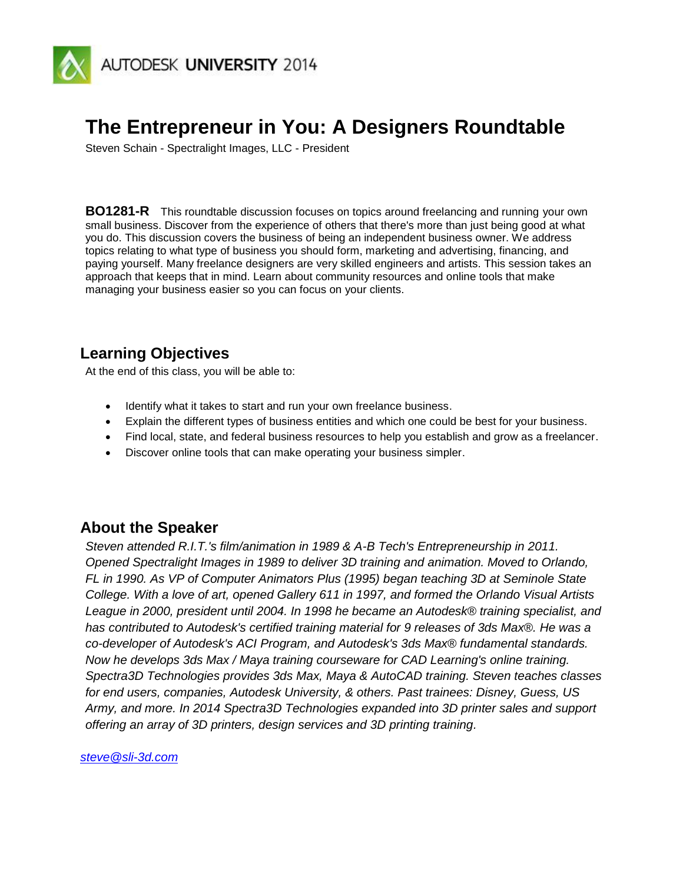

# **The Entrepreneur in You: A Designers Roundtable**

Steven Schain - Spectralight Images, LLC - President

**BO1281-R** This roundtable discussion focuses on topics around freelancing and running your own small business. Discover from the experience of others that there's more than just being good at what you do. This discussion covers the business of being an independent business owner. We address topics relating to what type of business you should form, marketing and advertising, financing, and paying yourself. Many freelance designers are very skilled engineers and artists. This session takes an approach that keeps that in mind. Learn about community resources and online tools that make managing your business easier so you can focus on your clients.

# **Learning Objectives**

At the end of this class, you will be able to:

- Identify what it takes to start and run your own freelance business.
- Explain the different types of business entities and which one could be best for your business.
- Find local, state, and federal business resources to help you establish and grow as a freelancer.
- Discover online tools that can make operating your business simpler.

### **About the Speaker**

*Steven attended R.I.T.'s film/animation in 1989 & A-B Tech's Entrepreneurship in 2011. Opened Spectralight Images in 1989 to deliver 3D training and animation. Moved to Orlando, FL in 1990. As VP of Computer Animators Plus (1995) began teaching 3D at Seminole State College. With a love of art, opened Gallery 611 in 1997, and formed the Orlando Visual Artists League in 2000, president until 2004. In 1998 he became an Autodesk® training specialist, and has contributed to Autodesk's certified training material for 9 releases of 3ds Max®. He was a co-developer of Autodesk's ACI Program, and Autodesk's 3ds Max® fundamental standards. Now he develops 3ds Max / Maya training courseware for CAD Learning's online training. Spectra3D Technologies provides 3ds Max, Maya & AutoCAD training. Steven teaches classes for end users, companies, Autodesk University, & others. Past trainees: Disney, Guess, US Army, and more. In 2014 Spectra3D Technologies expanded into 3D printer sales and support offering an array of 3D printers, design services and 3D printing training.*

*[steve@sli-3d.com](mailto:steve@sli-3d.com)*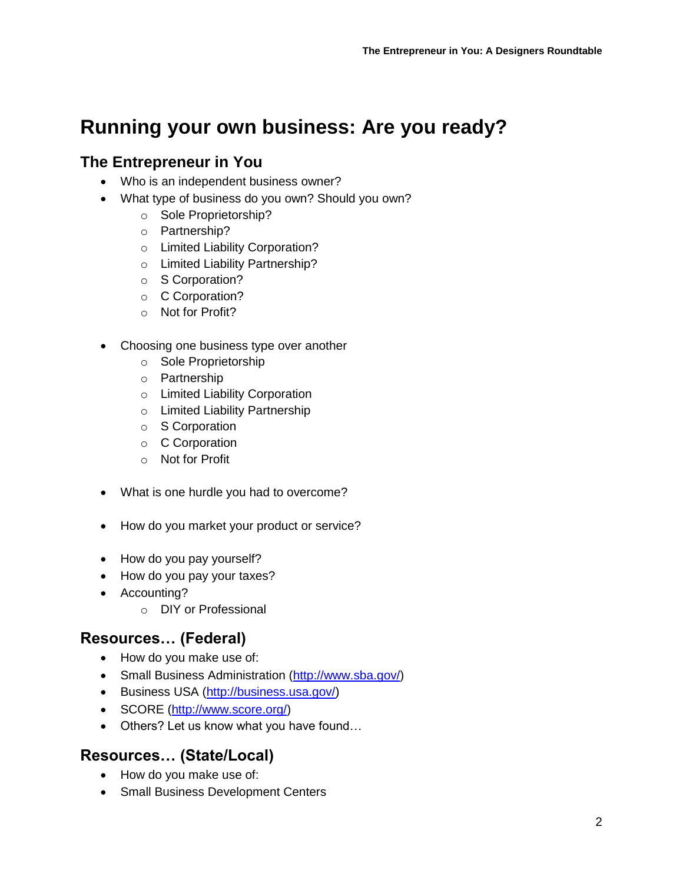# **Running your own business: Are you ready?**

## **The Entrepreneur in You**

- Who is an independent business owner?
- What type of business do you own? Should you own?
	- o Sole Proprietorship?
		- o Partnership?
		- o Limited Liability Corporation?
		- o Limited Liability Partnership?
		- o S Corporation?
		- o C Corporation?
		- o Not for Profit?
- Choosing one business type over another
	- o Sole Proprietorship
	- o Partnership
	- o Limited Liability Corporation
	- o Limited Liability Partnership
	- o S Corporation
	- o C Corporation
	- o Not for Profit
- What is one hurdle you had to overcome?
- How do you market your product or service?
- How do you pay yourself?
- How do you pay your taxes?
- Accounting?
	- o DIY or Professional

# **Resources… (Federal)**

- How do you make use of:
- Small Business Administration [\(http://www.sba.gov/\)](http://www.sba.gov/)
- **Business USA** [\(http://business.usa.gov/\)](http://business.usa.gov/)
- SCORE [\(http://www.score.org/\)](http://www.score.org/)
- Others? Let us know what you have found...

# **Resources… (State/Local)**

- How do you make use of:
- Small Business Development Centers